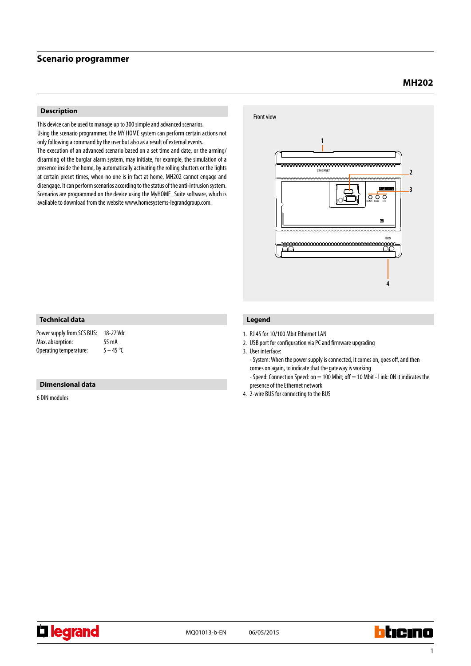### **Scenario programmer**

# **MH202**

### **Description**

This device can be used to manage up to 300 simple and advanced scenarios. Using the scenario programmer, the MY HOME system can perform certain actions not only following a command by the user but also as a result of external events.

The execution of an advanced scenario based on a set time and date, or the arming/ disarming of the burglar alarm system, may initiate, for example, the simulation of a presence inside the home, by automatically activating the rolling shutters or the lights at certain preset times, when no one is in fact at home. MH202 cannot engage and disengage. It can perform scenarios according to the status of the anti-intrusion system. Scenarios are programmed on the device using the MyHOME\_Suite software, which is available to download from the website www.homesystems-legrandgroup.com.



### **Technical data**

| Power supply from SCS BUS: | 18-27 Vdc   |
|----------------------------|-------------|
| Max. absorption:           | 55 mA       |
| Operating temperature:     | $5 - 45$ °C |

### **Dimensional data**

6 DIN modules

### **Legend**

1. RJ 45 for 10/100 Mbit Ethernet LAN

2. USB port for configuration via PC and firmware upgrading

3. User interface:

- System: When the power supply is connected, it comes on, goes off, and then comes on again, to indicate that the gateway is working

- Speed: Connection Speed: on = 100 Mbit; off = 10 Mbit - Link: ON it indicates the presence of the Ethernet network

4. 2-wire BUS for connecting to the BUS



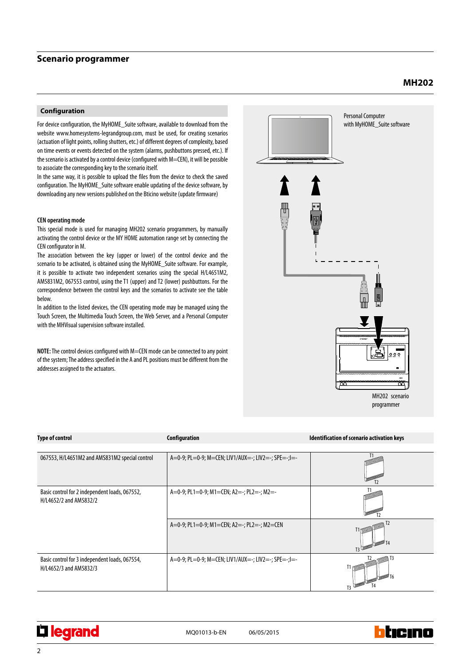### **Scenario programmer**

#### **Configuration**

For device configuration, the MyHOME\_Suite software, available to download from the website www.homesystems-legrandgroup.com, must be used, for creating scenarios (actuation of light points, rolling shutters, etc.) of different degrees of complexity, based on time events or events detected on the system (alarms, pushbuttons pressed, etc.). If the scenario is activated by a control device (configured with M=CEN), it will be possible to associate the corresponding key to the scenario itself.

In the same way, it is possible to upload the files from the device to check the saved configuration. The MyHOME\_Suite software enable updating of the device software, by downloading any new versions published on the Bticino website (update firmware)

#### **CEN operating mode**

This special mode is used for managing MH202 scenario programmers, by manually activating the control device or the MY HOME automation range set by connecting the CEN configurator in M.

The association between the key (upper or lower) of the control device and the scenario to be activated, is obtained using the MyHOME\_Suite software. For example, it is possible to activate two independent scenarios using the special H/L4651M2, AM5831M2, 067553 control, using the T1 (upper) and T2 (lower) pushbuttons. For the correspondence between the control keys and the scenarios to activate see the table below.

In addition to the listed devices, the CEN operating mode may be managed using the Touch Screen, the Multimedia Touch Screen, the Web Server, and a Personal Computer with the MHVisual supervision software installed.

**NOTE:** The control devices configured with M=CEN mode can be connected to any point of the system; The address specified in the A and PL positions must be different from the addresses assigned to the actuators.



| <b>Type of control</b>                                                   | Configuration                                       | Identification of scenario activation keys |
|--------------------------------------------------------------------------|-----------------------------------------------------|--------------------------------------------|
|                                                                          |                                                     |                                            |
| 067553, H/L4651M2 and AMS831M2 special control                           | A=0-9; PL=0-9; M=CEN; LIV1/AUX=-; LIV2=-; SPE=-;I=- |                                            |
| Basic control for 2 independent loads, 067552,<br>H/L4652/2 and AM5832/2 | A=0-9; PL1=0-9; M1=CEN; A2=-; PL2=-; M2=-           |                                            |
|                                                                          | A=0-9; PL1=0-9; M1=CEN; A2=-; PL2=-; M2=CEN         |                                            |
| Basic control for 3 independent loads, 067554,<br>H/L4652/3 and AM5832/3 | A=0-9; PL=0-9; M=CEN; LIV1/AUX=-; LIV2=-; SPE=-;I=- |                                            |

**Li legrand** 





hticina